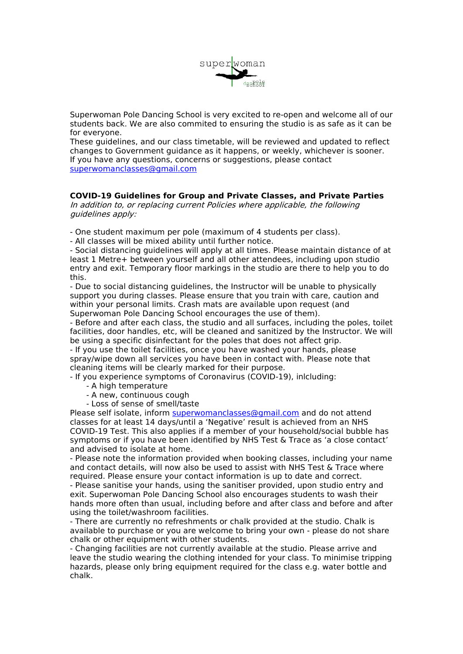

Superwoman Pole Dancing School is very excited to re-open and welcome all of our students back. We are also commited to ensuring the studio is as safe as it can be for everyone.

These guidelines, and our class timetable, will be reviewed and updated to reflect changes to Government guidance as it happens, or weekly, whichever is sooner. If you have any questions, concerns or suggestions, please contact [superwomanclasses@gmail.com](mailto:superwomanclasses@gmail.com)

## **COVID-19 Guidelines forGroup and Private Classes, and Private Parties**

In addition to, or replacing current Policies where applicable, the following guidelines apply:

- One student maximum per pole (maximum of 4 students per class).<br>- All classes will be mixed ability until further notice.

- Social distancing guidelines will apply at all times. Please maintain distance of at least 1 Metre+ between yourself and all other attendees, including upon studio entry and exit. Temporary floor markings in the studio are there to help you to do this.

- Due to social distancing guidelines, the Instructor will be unable to physically support you during classes. Please ensure that you train with care, caution and within your personal limits. Crash mats are available upon request (and Superwoman Pole Dancing School encourages the use of them).

- Before and after each class, the studio and all surfaces, including the poles, toilet facilities, door handles, etc, will be cleaned and sanitized by the Instructor. We will be using a specific disinfectant for the poles that does not affect grip.

- If you use the toilet facilities, once you have washed your hands, please spray/wipe down all services you have been in contact with. Please note that cleaning items will be clearly marked for their purpose.

- If you experience symptoms of Coronavirus (COVID-19), inlcluding:

- A high temperature
- A new, continuous cough
- Loss of sense of smell/taste

Please self isolate, inform [superwomanclasses@gmail.com](mailto:superwomanclasses@gmail.com) and do not attend classes for at least 14 days/until a 'Negative' result is achieved from an NHS COVID-19 Test. This also applies if a member of your household/social bubble has symptoms or if you have been identified by NHS Test & Traceas 'a close contact' and advised to isolate at home.

- Please note the information provided when booking classes, including your name and contact details, will now also be used to assist with NHS Test & Trace where required. Please ensure your contact information is up to date and correct.

- Please sanitise your hands, using the sanitiser provided, upon studio entry and exit. Superwoman Pole Dancing School also encourages students to wash their hands more often than usual, including before and after class and before and after using the toilet/washroom facilities.

- There are currently no refreshments or chalk provided at the studio. Chalk is available to purchase or you are welcome to bring your own - please do not share chalk or other equipment with other students.

- Changing facilities are not currently available at the studio. Please arrive and leave the studio wearing the clothing intended for yourclass. To minimise tripping hazards, please only bring equipment required for the class e.g. water bottle and chalk.